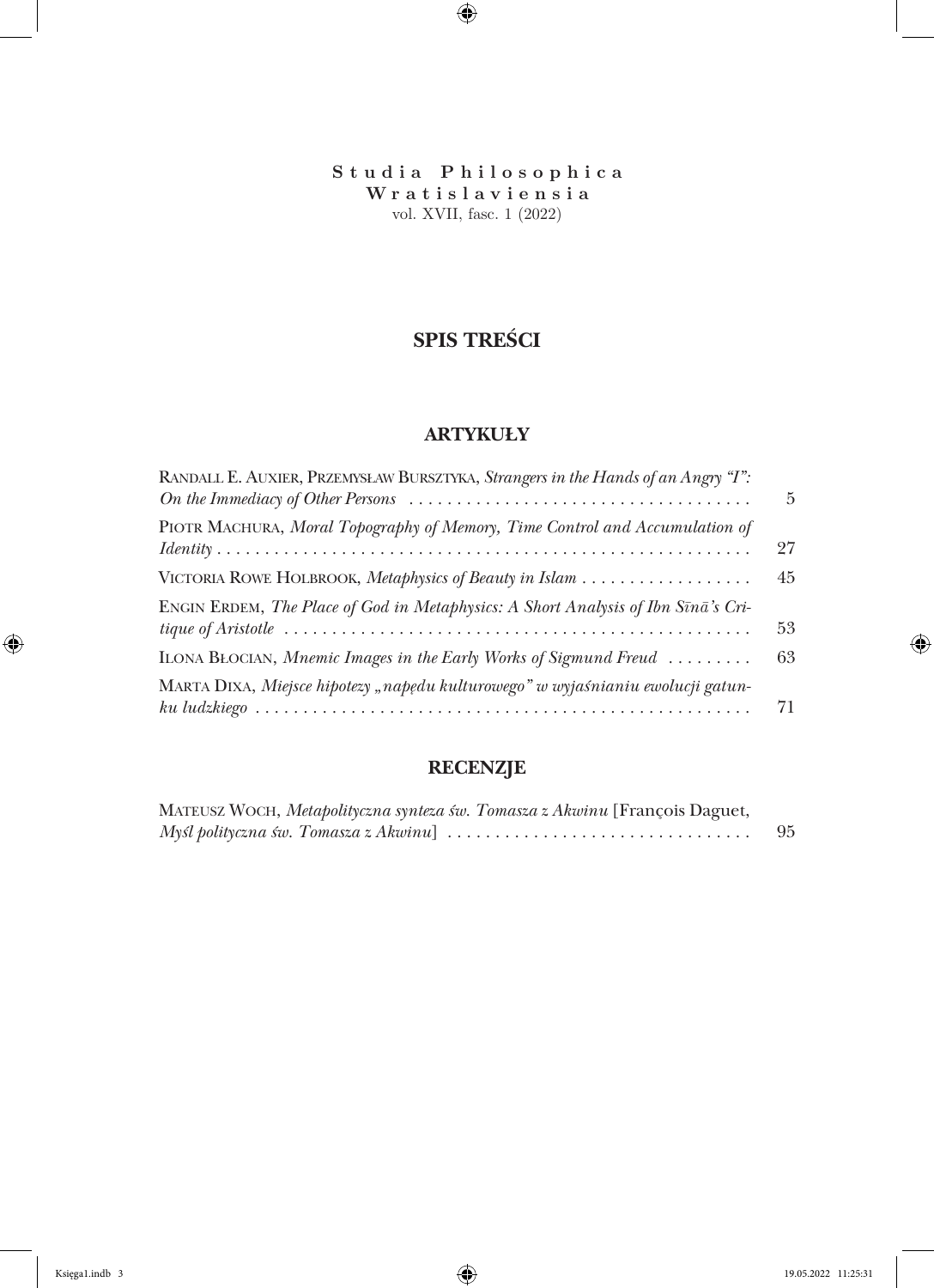**Studia Philosophica Wrat is lav iens ia** vol. XVII, fasc. 1 (2022)

# **SPIS TREŚCI**

#### **ARTYKUŁY**

| RANDALL E. AUXIER, PRZEMYSŁAW BURSZTYKA, Strangers in the Hands of an Angry "I":   | 5  |
|------------------------------------------------------------------------------------|----|
| PIOTR MACHURA, Moral Topography of Memory, Time Control and Accumulation of        | 27 |
|                                                                                    | 45 |
| ENGIN ERDEM, The Place of God in Metaphysics: A Short Analysis of Ibn Sīnā's Cri-  | 53 |
| ILONA BLOCIAN, Mnemic Images in the Early Works of Sigmund Freud $\dots\dots\dots$ | 63 |
| MARTA DIXA, Miejsce hipotezy "napędu kulturowego" w wyjaśnianiu ewolucji gatun-    | 71 |

## **RECENZJE**

| MATEUSZ WOCH, Metapolityczna synteza św. Tomasza z Akwinu [François Daguet, |    |
|-----------------------------------------------------------------------------|----|
|                                                                             | 95 |